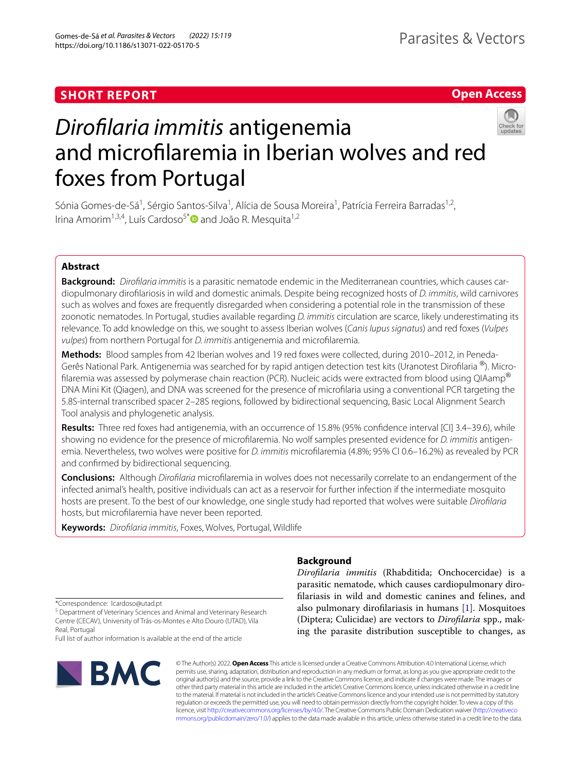# **SHORT REPORT**

# **Open Access**



# *Diroflaria immitis* antigenemia and microflaremia in Iberian wolves and red foxes from Portugal

Sónia Gomes-de-Sá<sup>1</sup>, Sérgio Santos-Silva<sup>1</sup>, Alícia de Sousa Moreira<sup>1</sup>, Patrícia Ferreira Barradas<sup>1,2</sup>, Irina Amorim<sup>1,3,4</sup>, Luís Cardoso<sup>5[\\*](http://orcid.org/0000-0002-6145-7560)</sup> and João R. Mesquita<sup>1,2</sup>

# **Abstract**

**Background:** *Diroflaria immitis* is a parasitic nematode endemic in the Mediterranean countries, which causes car‑ diopulmonary diroflariosis in wild and domestic animals. Despite being recognized hosts of *D. immitis*, wild carnivores such as wolves and foxes are frequently disregarded when considering a potential role in the transmission of these zoonotic nematodes. In Portugal, studies available regarding *D. immitis* circulation are scarce, likely underestimating its relevance. To add knowledge on this, we sought to assess Iberian wolves (*Canis lupus signatus*) and red foxes (*Vulpes vulpes*) from northern Portugal for *D. immitis* antigenemia and microflaremia.

**Methods:** Blood samples from 42 Iberian wolves and 19 red foxes were collected, during 2010–2012, in Peneda-Gerês National Park. Antigenemia was searched for by rapid antigen detection test kits (Uranotest Dirofilaria ®). Microfilaremia was assessed by polymerase chain reaction (PCR). Nucleic acids were extracted from blood using QIAamp® DNA Mini Kit (Qiagen), and DNA was screened for the presence of microflaria using a conventional PCR targeting the 5.8S-internal transcribed spacer 2–28S regions, followed by bidirectional sequencing, Basic Local Alignment Search Tool analysis and phylogenetic analysis.

**Results:** Three red foxes had antigenemia, with an occurrence of 15.8% (95% confdence interval [CI] 3.4–39.6), while showing no evidence for the presence of microflaremia. No wolf samples presented evidence for *D. immitis* antigen‑ emia. Nevertheless, two wolves were positive for *D. immitis* microflaremia (4.8%; 95% CI 0.6–16.2%) as revealed by PCR and confrmed by bidirectional sequencing.

**Conclusions:** Although *Diroflaria* microflaremia in wolves does not necessarily correlate to an endangerment of the infected animal's health, positive individuals can act as a reservoir for further infection if the intermediate mosquito hosts are present. To the best of our knowledge, one single study had reported that wolves were suitable *Diroflaria* hosts, but microflaremia have never been reported.

**Keywords:** *Diroflaria immitis*, Foxes, Wolves, Portugal, Wildlife

# **Background**

*Diroflaria immitis* (Rhabditida; Onchocercidae) is a parasitic nematode, which causes cardiopulmonary diroflariasis in wild and domestic canines and felines, and also pulmonary diroflariasis in humans [[1\]](#page-4-0). Mosquitoes (Diptera; Culicidae) are vectors to *Diroflaria* spp., making the parasite distribution susceptible to changes, as

\*Correspondence: lcardoso@utad.pt

<sup>5</sup> Department of Veterinary Sciences and Animal and Veterinary Research Centre (CECAV), University of Trás-os-Montes e Alto Douro (UTAD), Vila Real, Portugal

Full list of author information is available at the end of the article



© The Author(s) 2022. **Open Access** This article is licensed under a Creative Commons Attribution 4.0 International License, which permits use, sharing, adaptation, distribution and reproduction in any medium or format, as long as you give appropriate credit to the original author(s) and the source, provide a link to the Creative Commons licence, and indicate if changes were made. The images or other third party material in this article are included in the article's Creative Commons licence, unless indicated otherwise in a credit line to the material. If material is not included in the article's Creative Commons licence and your intended use is not permitted by statutory regulation or exceeds the permitted use, you will need to obtain permission directly from the copyright holder. To view a copy of this licence, visit [http://creativecommons.org/licenses/by/4.0/.](http://creativecommons.org/licenses/by/4.0/) The Creative Commons Public Domain Dedication waiver ([http://creativeco](http://creativecommons.org/publicdomain/zero/1.0/) [mmons.org/publicdomain/zero/1.0/](http://creativecommons.org/publicdomain/zero/1.0/)) applies to the data made available in this article, unless otherwise stated in a credit line to the data.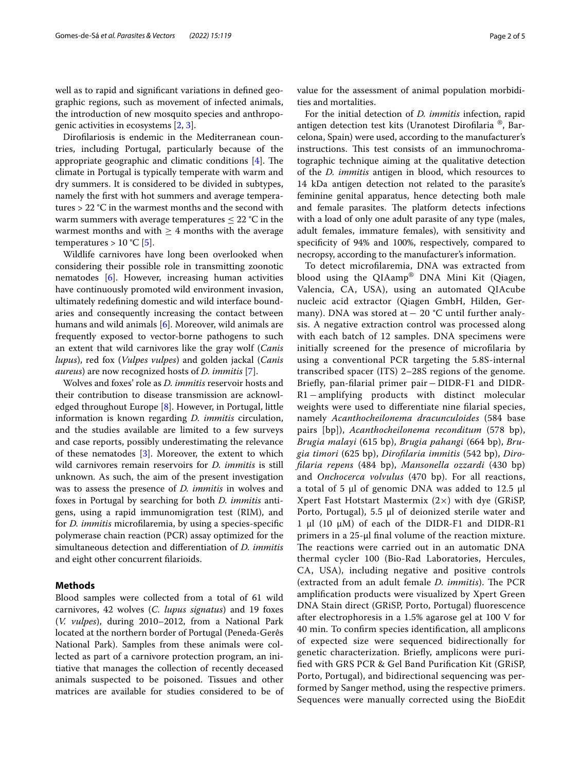well as to rapid and signifcant variations in defned geographic regions, such as movement of infected animals, the introduction of new mosquito species and anthropogenic activities in ecosystems [\[2](#page-4-1), [3\]](#page-4-2).

Diroflariosis is endemic in the Mediterranean countries, including Portugal, particularly because of the appropriate geographic and climatic conditions  $[4]$  $[4]$ . The climate in Portugal is typically temperate with warm and dry summers. It is considered to be divided in subtypes, namely the frst with hot summers and average temperatures > 22 °C in the warmest months and the second with warm summers with average temperatures  $\leq 22$  °C in the warmest months and with  $\geq 4$  months with the average temperatures >  $10 °C$  [\[5](#page-4-4)].

Wildlife carnivores have long been overlooked when considering their possible role in transmitting zoonotic nematodes [[6](#page-4-5)]. However, increasing human activities have continuously promoted wild environment invasion, ultimately redefning domestic and wild interface boundaries and consequently increasing the contact between humans and wild animals [[6\]](#page-4-5). Moreover, wild animals are frequently exposed to vector-borne pathogens to such an extent that wild carnivores like the gray wolf (*Canis lupus*), red fox (*Vulpes vulpes*) and golden jackal (*Canis aureus*) are now recognized hosts of *D. immitis* [\[7](#page-4-6)].

Wolves and foxes' role as *D. immitis* reservoir hosts and their contribution to disease transmission are acknowledged throughout Europe [[8\]](#page-4-7). However, in Portugal, little information is known regarding *D. immitis* circulation, and the studies available are limited to a few surveys and case reports, possibly underestimating the relevance of these nematodes [\[3](#page-4-2)]. Moreover, the extent to which wild carnivores remain reservoirs for *D. immitis* is still unknown. As such, the aim of the present investigation was to assess the presence of *D. immitis* in wolves and foxes in Portugal by searching for both *D. immitis* antigens, using a rapid immunomigration test (RIM), and for *D. immitis* microflaremia, by using a species-specifc polymerase chain reaction (PCR) assay optimized for the simultaneous detection and diferentiation of *D. immitis* and eight other concurrent flarioids.

# **Methods**

Blood samples were collected from a total of 61 wild carnivores, 42 wolves (*C. lupus signatus*) and 19 foxes (*V. vulpes*), during 2010–2012, from a National Park located at the northern border of Portugal (Peneda-Gerês National Park). Samples from these animals were collected as part of a carnivore protection program, an initiative that manages the collection of recently deceased animals suspected to be poisoned. Tissues and other matrices are available for studies considered to be of value for the assessment of animal population morbidities and mortalities.

For the initial detection of *D. immitis* infection, rapid antigen detection test kits (Uranotest Diroflaria ®, Barcelona, Spain) were used, according to the manufacturer's instructions. This test consists of an immunochromatographic technique aiming at the qualitative detection of the *D. immitis* antigen in blood, which resources to 14 kDa antigen detection not related to the parasite's feminine genital apparatus, hence detecting both male and female parasites. The platform detects infections with a load of only one adult parasite of any type (males, adult females, immature females), with sensitivity and specifcity of 94% and 100%, respectively, compared to necropsy, according to the manufacturer's information.

To detect microflaremia, DNA was extracted from blood using the QIAamp® DNA Mini Kit (Qiagen, Valencia, CA, USA), using an automated QIAcube nucleic acid extractor (Qiagen GmbH, Hilden, Germany). DNA was stored at− 20 °C until further analysis. A negative extraction control was processed along with each batch of 12 samples. DNA specimens were initially screened for the presence of microflaria by using a conventional PCR targeting the 5.8S-internal transcribed spacer (ITS) 2–28S regions of the genome. Briefy, pan-flarial primer pair−DIDR-F1 and DIDR-R1−amplifying products with distinct molecular weights were used to diferentiate nine flarial species, namely *Acanthocheilonema dracunculoides* (584 base pairs [bp]), *Acanthocheilonema reconditum* (578 bp), *Brugia malayi* (615 bp), *Brugia pahangi* (664 bp), *Brugia timori* (625 bp), *Diroflaria immitis* (542 bp), *Diroflaria repens* (484 bp), *Mansonella ozzardi* (430 bp) and *Onchocerca volvulus* (470 bp). For all reactions, a total of 5 μl of genomic DNA was added to 12.5 μl Xpert Fast Hotstart Mastermix  $(2\times)$  with dye (GRiSP, Porto, Portugal), 5.5 μl of deionized sterile water and 1 μl (10 μM) of each of the DIDR-F1 and DIDR-R1 primers in a 25-μl fnal volume of the reaction mixture. The reactions were carried out in an automatic DNA thermal cycler 100 (Bio-Rad Laboratories, Hercules, CA, USA), including negative and positive controls (extracted from an adult female *D. immitis*). The PCR amplifcation products were visualized by Xpert Green DNA Stain direct (GRiSP, Porto, Portugal) fuorescence after electrophoresis in a 1.5% agarose gel at 100 V for 40 min. To confrm species identifcation, all amplicons of expected size were sequenced bidirectionally for genetic characterization. Briefy, amplicons were purifed with GRS PCR & Gel Band Purifcation Kit (GRiSP, Porto, Portugal), and bidirectional sequencing was performed by Sanger method, using the respective primers. Sequences were manually corrected using the BioEdit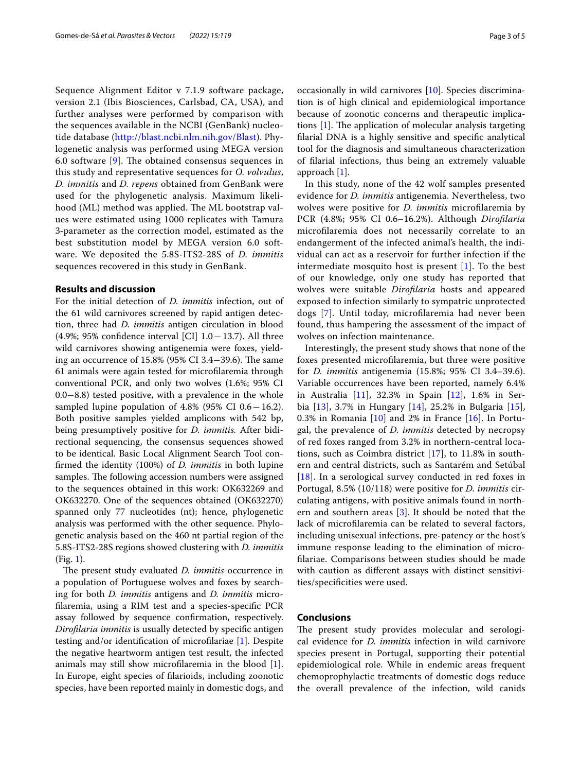Sequence Alignment Editor v 7.1.9 software package, version 2.1 (Ibis Biosciences, Carlsbad, CA, USA), and further analyses were performed by comparison with the sequences available in the NCBI (GenBank) nucleotide database ([http://blast.ncbi.nlm.nih.gov/Blast\)](http://blast.ncbi.nlm.nih.gov/Blast). Phylogenetic analysis was performed using MEGA version 6.0 software  $[9]$  $[9]$ . The obtained consensus sequences in this study and representative sequences for *O. volvulus*, *D. immitis* and *D. repens* obtained from GenBank were used for the phylogenetic analysis. Maximum likelihood (ML) method was applied. The ML bootstrap values were estimated using 1000 replicates with Tamura 3‐parameter as the correction model, estimated as the best substitution model by MEGA version 6.0 software. We deposited the 5.8S-ITS2-28S of *D. immitis* sequences recovered in this study in GenBank.

#### **Results and discussion**

For the initial detection of *D. immitis* infection, out of the 61 wild carnivores screened by rapid antigen detection, three had *D. immitis* antigen circulation in blood (4.9%; 95% confdence interval [CI] 1.0−13.7). All three wild carnivores showing antigenemia were foxes, yielding an occurrence of 15.8% (95% CI 3.4–39.6). The same 61 animals were again tested for microflaremia through conventional PCR, and only two wolves (1.6%; 95% CI 0.0−8.8) tested positive, with a prevalence in the whole sampled lupine population of 4.8% (95% CI  $0.6-16.2$ ). Both positive samples yielded amplicons with 542 bp, being presumptively positive for *D. immitis.* After bidirectional sequencing, the consensus sequences showed to be identical. Basic Local Alignment Search Tool confrmed the identity (100%) of *D. immitis* in both lupine samples. The following accession numbers were assigned to the sequences obtained in this work: OK632269 and OK632270. One of the sequences obtained (OK632270) spanned only 77 nucleotides (nt); hence, phylogenetic analysis was performed with the other sequence. Phylogenetic analysis based on the 460 nt partial region of the 5.8S-ITS2-28S regions showed clustering with *D. immitis* (Fig. [1\)](#page-3-0).

The present study evaluated *D. immitis* occurrence in a population of Portuguese wolves and foxes by searching for both *D. immitis* antigens and *D. immitis* microflaremia, using a RIM test and a species-specifc PCR assay followed by sequence confrmation, respectively. *Diroflaria immitis* is usually detected by specifc antigen testing and/or identifcation of microflariae [[1\]](#page-4-0). Despite the negative heartworm antigen test result, the infected animals may still show microflaremia in the blood [\[1](#page-4-0)]. In Europe, eight species of flarioids, including zoonotic species, have been reported mainly in domestic dogs, and occasionally in wild carnivores [\[10](#page-4-9)]. Species discrimination is of high clinical and epidemiological importance because of zoonotic concerns and therapeutic implications  $[1]$  $[1]$ . The application of molecular analysis targeting flarial DNA is a highly sensitive and specifc analytical tool for the diagnosis and simultaneous characterization of flarial infections, thus being an extremely valuable approach [\[1](#page-4-0)].

In this study, none of the 42 wolf samples presented evidence for *D. immitis* antigenemia. Nevertheless, two wolves were positive for *D. immitis* microflaremia by PCR (4.8%; 95% CI 0.6–16.2%). Although *Diroflaria* microflaremia does not necessarily correlate to an endangerment of the infected animal's health, the individual can act as a reservoir for further infection if the intermediate mosquito host is present [[1\]](#page-4-0). To the best of our knowledge, only one study has reported that wolves were suitable *Diroflaria* hosts and appeared exposed to infection similarly to sympatric unprotected dogs [\[7](#page-4-6)]. Until today, microflaremia had never been found, thus hampering the assessment of the impact of wolves on infection maintenance.

Interestingly, the present study shows that none of the foxes presented microflaremia, but three were positive for *D. immitis* antigenemia (15.8%; 95% CI 3.4–39.6). Variable occurrences have been reported, namely 6.4% in Australia [\[11](#page-4-10)], 32.3% in Spain [[12\]](#page-4-11), 1.6% in Serbia [\[13](#page-4-12)], 3.7% in Hungary [[14](#page-4-13)], 25.2% in Bulgaria [[15](#page-4-14)], 0.3% in Romania  $[10]$  $[10]$  and 2% in France  $[16]$  $[16]$ . In Portugal, the prevalence of *D. immitis* detected by necropsy of red foxes ranged from 3.2% in northern-central locations, such as Coimbra district [[17\]](#page-4-16), to 11.8% in southern and central districts, such as Santarém and Setúbal [[18](#page-4-17)]. In a serological survey conducted in red foxes in Portugal, 8.5% (10/118) were positive for *D. immitis* circulating antigens, with positive animals found in northern and southern areas [[3\]](#page-4-2). It should be noted that the lack of microflaremia can be related to several factors, including unisexual infections, pre-patency or the host's immune response leading to the elimination of microflariae. Comparisons between studies should be made with caution as diferent assays with distinct sensitivities/specifcities were used.

# **Conclusions**

The present study provides molecular and serological evidence for *D. immitis* infection in wild carnivore species present in Portugal, supporting their potential epidemiological role. While in endemic areas frequent chemoprophylactic treatments of domestic dogs reduce the overall prevalence of the infection, wild canids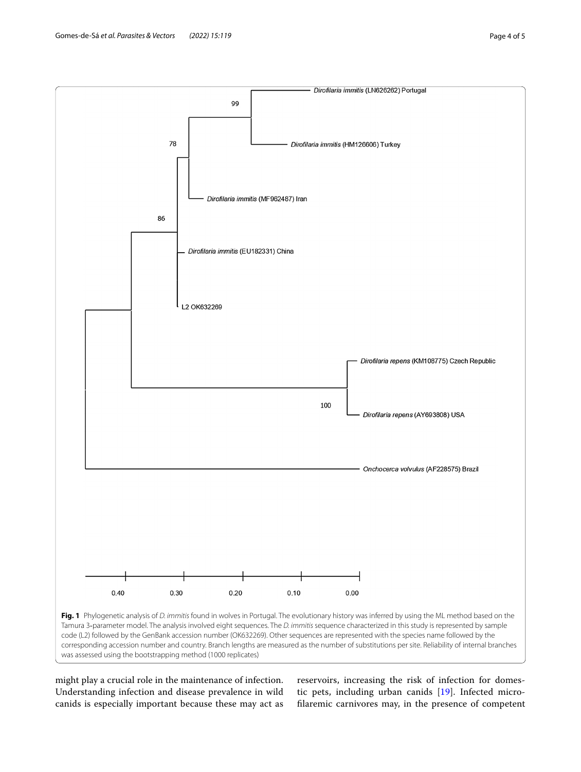Gomes-de-Sá *et al. Parasites & Vectors (2022)* 15:119 **Page 4 of 5** and 2022) **Page 4 of 5** 



<span id="page-3-0"></span>might play a crucial role in the maintenance of infection. Understanding infection and disease prevalence in wild canids is especially important because these may act as

reservoirs, increasing the risk of infection for domestic pets, including urban canids [[19](#page-4-18)]. Infected microflaremic carnivores may, in the presence of competent